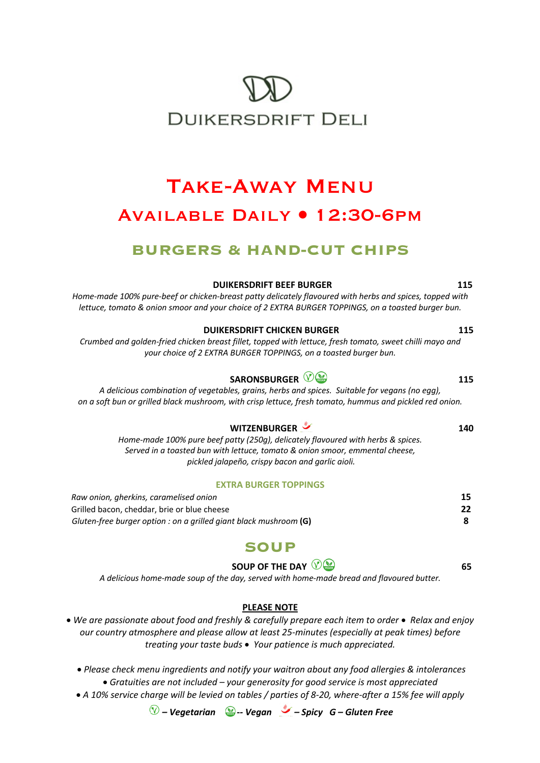# **DUIKERSDRIFT DELI**

# Take-Away Menu Available Daily • 12:30-6pm

# **BURGERS & HAND-CUT CHIPS**

**DUIKERSDRIFT BEEF BURGER 115** *Home-made 100% pure-beef or chicken-breast patty delicately flavoured with herbs and spices, topped with lettuce, tomato & onion smoor and your choice of 2 EXTRA BURGER TOPPINGS, on a toasted burger bun.* 

**DUIKERSDRIFT CHICKEN BURGER** 115 *Crumbed and golden-fried chicken breast fillet, topped with lettuce, fresh tomato, sweet chilli mayo and your choice of 2 EXTRA BURGER TOPPINGS, on a toasted burger bun.* 

*A delicious combination of vegetables, grains, herbs and spices. Suitable for vegans (no egg), on a soft bun or grilled black mushroom, with crisp lettuce, fresh tomato, hummus and pickled red onion.*

#### **WITZENBURGER 140**

*Home-made 100% pure beef patty (250g), delicately flavoured with herbs & spices. Served in a toasted bun with lettuce, tomato & onion smoor, emmental cheese, pickled jalapeño, crispy bacon and garlic aioli.*

#### **EXTRA BURGER TOPPINGS**

| Raw onion, gherkins, caramelised onion                              |  |
|---------------------------------------------------------------------|--|
| Grilled bacon, cheddar, brie or blue cheese                         |  |
| Gluten-free burger option : on a grilled giant black mushroom $(G)$ |  |

## **SOUP**

#### **SOUP OF THE DAY**  $\bigcirc \bigcirc \bullet$  65

*A delicious home-made soup of the day, served with home-made bread and flavoured butter.*

#### **PLEASE NOTE**

• *We are passionate about food and freshly & carefully prepare each item to order* • *Relax and enjoy our country atmosphere and please allow at least 25-minutes (especially at peak times) before treating your taste buds* • *Your patience is much appreciated.* 

• *Please check menu ingredients and notify your waitron about any food allergies & intolerances* • *Gratuities are not included – your generosity for good service is most appreciated*

• *A 10% service charge will be levied on tables / parties of 8-20, where-after a 15% fee will apply*

*– Vegetarian* **-***- Vegan – Spicy G – Gluten Free*

# **SARONSBURGER**  $\mathbb{Q}$  **2008 115**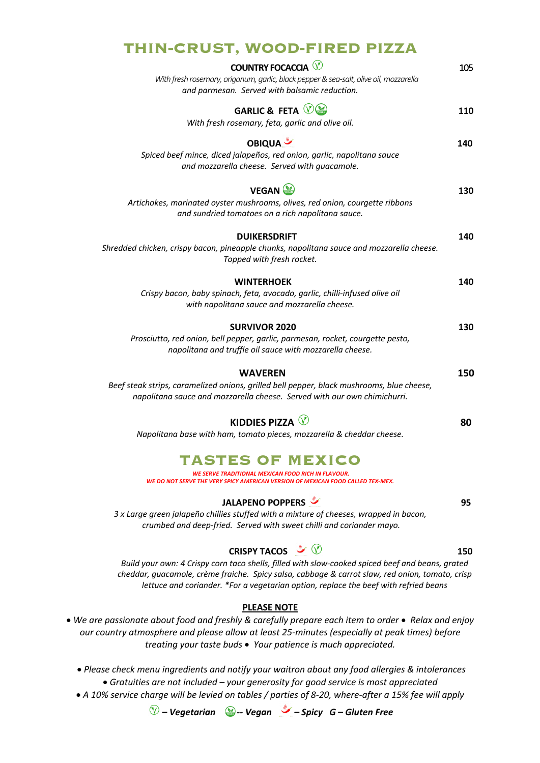### **THIN-CRUST, WOOD-FIRED PIZZA**

| <b>COUNTRY FOCACCIA V</b><br>With fresh rosemary, origanum, garlic, black pepper & sea-salt, olive oil, mozzarella<br>and parmesan. Served with balsamic reduction.                     | 105 |
|-----------------------------------------------------------------------------------------------------------------------------------------------------------------------------------------|-----|
| <b>GARLIC &amp; FETA V</b><br>With fresh rosemary, feta, garlic and olive oil.                                                                                                          | 110 |
| <b>OBIQUA</b><br>Spiced beef mince, diced jalapeños, red onion, garlic, napolitana sauce<br>and mozzarella cheese. Served with guacamole.                                               | 140 |
| <b>VEGAN</b><br>Artichokes, marinated oyster mushrooms, olives, red onion, courgette ribbons<br>and sundried tomatoes on a rich napolitana sauce.                                       | 130 |
| <b>DUIKERSDRIFT</b><br>Shredded chicken, crispy bacon, pineapple chunks, napolitana sauce and mozzarella cheese.<br>Topped with fresh rocket.                                           | 140 |
| <b>WINTERHOEK</b><br>Crispy bacon, baby spinach, feta, avocado, garlic, chilli-infused olive oil<br>with napolitana sauce and mozzarella cheese.                                        | 140 |
| <b>SURVIVOR 2020</b><br>Prosciutto, red onion, bell pepper, garlic, parmesan, rocket, courgette pesto,<br>napolitana and truffle oil sauce with mozzarella cheese.                      | 130 |
| <b>WAVEREN</b><br>Beef steak strips, caramelized onions, grilled bell pepper, black mushrooms, blue cheese,<br>napolitana sauce and mozzarella cheese. Served with our own chimichurri. | 150 |
| KIDDIES PIZZA $\heartsuit$<br>Napolitana base with ham, tomato pieces, mozzarella & cheddar cheese.                                                                                     | 80  |
| <b>TASTES OF MEXICO</b>                                                                                                                                                                 |     |

# *WE SERVE TRADITIONAL MEXICAN FOOD RICH IN FLAVOUR.*

*WE DO NOT SERVE THE VERY SPICY AMERICAN VERSION OF MEXICAN FOOD CALLED TEX-MEX.*

#### **JALAPENO POPPERS 95**

*3 x Large green jalapeño chillies stuffed with a mixture of cheeses, wrapped in bacon, crumbed and deep-fried. Served with sweet chilli and coriander mayo.*

#### **CRISPY TACOS**  $\sqrt{\phantom{a}}$   $\sqrt{\phantom{a}}$  150

*Build your own: 4 Crispy corn taco shells, filled with slow-cooked spiced beef and beans, grated cheddar, guacamole, crème fraiche. Spicy salsa, cabbage & carrot slaw, red onion, tomato, crisp lettuce and coriander. \*For a vegetarian option, replace the beef with refried beans* 

#### **PLEASE NOTE**

• *We are passionate about food and freshly & carefully prepare each item to order* • *Relax and enjoy our country atmosphere and please allow at least 25-minutes (especially at peak times) before treating your taste buds* • *Your patience is much appreciated.* 

• *Please check menu ingredients and notify your waitron about any food allergies & intolerances* • *Gratuities are not included – your generosity for good service is most appreciated*

• *A 10% service charge will be levied on tables / parties of 8-20, where-after a 15% fee will apply*

*– Vegetarian* **-***- Vegan – Spicy G – Gluten Free*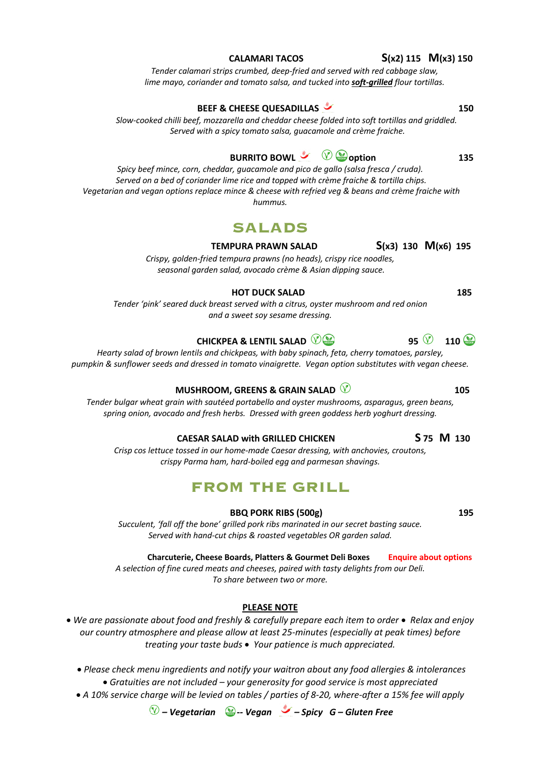# **BEEF & CHEESE QUESADILLAS 450 150**

*Slow-cooked chilli beef, mozzarella and cheddar cheese folded into soft tortillas and griddled. Served with a spicy tomato salsa, guacamole and crème fraiche.*

*Tender calamari strips crumbed, deep-fried and served with red cabbage slaw, lime mayo, coriander and tomato salsa, and tucked into soft-grilled flour tortillas.*

## **BURRITO BOWL & @** option 135

*Spicy beef mince, corn, cheddar, guacamole and pico de gallo (salsa fresca / cruda). Served on a bed of coriander lime rice and topped with crème fraiche & tortilla chips. Vegetarian and vegan options replace mince & cheese with refried veg & beans and crème fraiche with hummus.* 

# **SALADS**

#### **TEMPURA PRAWN SALAD S(x3) 130 M(x6) 195**

*Crispy, golden-fried tempura prawns (no heads), crispy rice noodles, seasonal garden salad, avocado crème & Asian dipping sauce.*

#### **HOT DUCK SALAD 185**

*Tender 'pink' seared duck breast served with a citrus, oyster mushroom and red onion and a sweet soy sesame dressing.* 

### **CHICKPEA & LENTIL SALAD**  $\mathbb{Q}$  $\bullet$  **95**  $\mathbb{Q}$  **110**  $\bullet$

*Hearty salad of brown lentils and chickpeas, with baby spinach, feta, cherry tomatoes, parsley, pumpkin & sunflower seeds and dressed in tomato vinaigrette. Vegan option substitutes with vegan cheese.*

#### **MUSHROOM, GREENS & GRAIN SALAD 2008 105**

*Tender bulgar wheat grain with sautéed portabello and oyster mushrooms, asparagus, green beans, spring onion, avocado and fresh herbs. Dressed with green goddess herb yoghurt dressing.*

#### **CAESAR SALAD with GRILLED CHICKEN S 75 M 130**

*Crisp cos lettuce tossed in our home-made Caesar dressing, with anchovies, croutons, crispy Parma ham, hard-boiled egg and parmesan shavings.*

## **FROM THE GRILL**

#### **BBQ PORK RIBS (500g) 195**

*Succulent, 'fall off the bone' grilled pork ribs marinated in our secret basting sauce. Served with hand-cut chips & roasted vegetables OR garden salad.*

 **Charcuterie, Cheese Boards, Platters & Gourmet Deli Boxes Enquire about options**

*A selection of fine cured meats and cheeses, paired with tasty delights from our Deli. To share between two or more.*

#### **PLEASE NOTE**

• *We are passionate about food and freshly & carefully prepare each item to order* • *Relax and enjoy our country atmosphere and please allow at least 25-minutes (especially at peak times) before treating your taste buds* • *Your patience is much appreciated.* 

• *Please check menu ingredients and notify your waitron about any food allergies & intolerances* • *Gratuities are not included – your generosity for good service is most appreciated*

• *A 10% service charge will be levied on tables / parties of 8-20, where-after a 15% fee will apply*

*– Vegetarian* **-***- Vegan – Spicy G – Gluten Free*

#### **CALAMARI TACOS S(x2) 115 M(x3) 150**